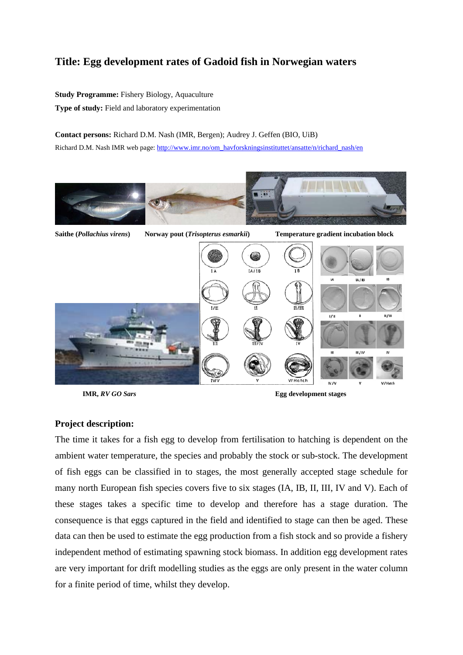## **Title: Egg development rates of Gadoid fish in Norwegian waters**

**Study Programme:** Fishery Biology, Aquaculture **Type of study:** Field and laboratory experimentation

**Contact persons:** Richard D.M. Nash (IMR, Bergen); Audrey J. Geffen (BIO, UiB) Richard D.M. Nash IMR web page: http://www.imr.no/om\_havforskningsinstituttet/ansatte/n/richard\_nash/en



**IMR,** *RV GO Sars* **Egg development stages** 

## **Project description:**

The time it takes for a fish egg to develop from fertilisation to hatching is dependent on the ambient water temperature, the species and probably the stock or sub-stock. The development of fish eggs can be classified in to stages, the most generally accepted stage schedule for many north European fish species covers five to six stages (IA, IB, II, III, IV and V). Each of these stages takes a specific time to develop and therefore has a stage duration. The consequence is that eggs captured in the field and identified to stage can then be aged. These data can then be used to estimate the egg production from a fish stock and so provide a fishery independent method of estimating spawning stock biomass. In addition egg development rates are very important for drift modelling studies as the eggs are only present in the water column for a finite period of time, whilst they develop.